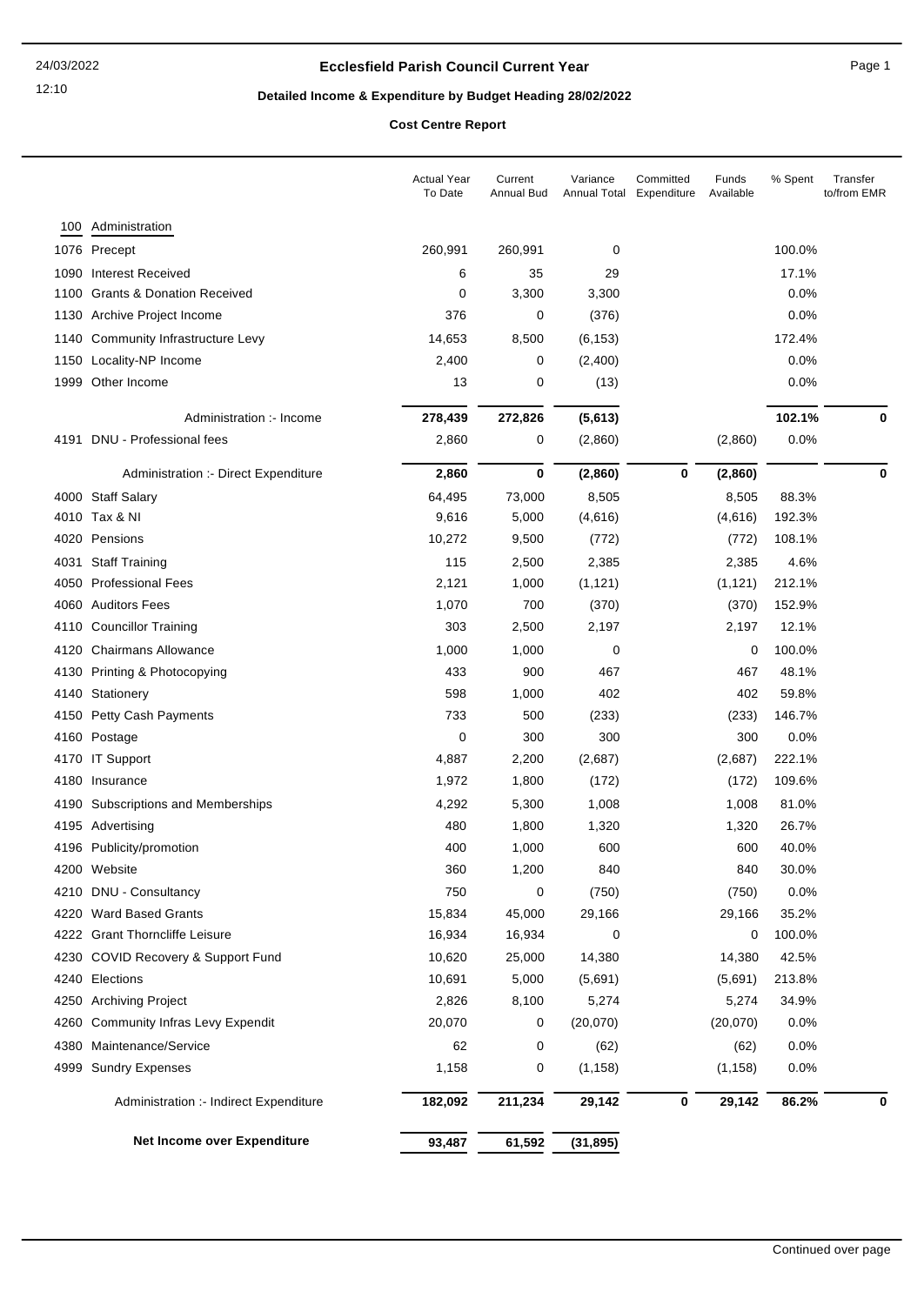## **Ecclesfield Parish Council Current Year** Page 1

# **Detailed Income & Expenditure by Budget Heading 28/02/2022**

**Cost Centre Report**

|      |                                        | <b>Actual Year</b><br>To Date | Current<br>Annual Bud | Variance<br>Annual Total | Committed<br>Expenditure | Funds<br>Available | % Spent | Transfer<br>to/from EMR |
|------|----------------------------------------|-------------------------------|-----------------------|--------------------------|--------------------------|--------------------|---------|-------------------------|
| 100  | Administration                         |                               |                       |                          |                          |                    |         |                         |
|      | 1076 Precept                           | 260,991                       | 260,991               | 0                        |                          |                    | 100.0%  |                         |
| 1090 | <b>Interest Received</b>               | 6                             | 35                    | 29                       |                          |                    | 17.1%   |                         |
| 1100 | <b>Grants &amp; Donation Received</b>  | 0                             | 3,300                 | 3,300                    |                          |                    | 0.0%    |                         |
| 1130 | Archive Project Income                 | 376                           | 0                     | (376)                    |                          |                    | 0.0%    |                         |
| 1140 | Community Infrastructure Levy          | 14,653                        | 8,500                 | (6, 153)                 |                          |                    | 172.4%  |                         |
| 1150 | Locality-NP Income                     | 2,400                         | 0                     | (2,400)                  |                          |                    | 0.0%    |                         |
| 1999 | Other Income                           | 13                            | 0                     | (13)                     |                          |                    | 0.0%    |                         |
|      |                                        |                               |                       |                          |                          |                    |         |                         |
|      | Administration :- Income               | 278,439                       | 272,826               | (5,613)                  |                          |                    | 102.1%  | 0                       |
| 4191 | DNU - Professional fees                | 2,860                         | 0                     | (2,860)                  |                          | (2,860)            | 0.0%    |                         |
|      | Administration :- Direct Expenditure   | 2,860                         | 0                     | (2,860)                  | 0                        | (2,860)            |         | 0                       |
|      | 4000 Staff Salary                      | 64,495                        | 73,000                | 8,505                    |                          | 8,505              | 88.3%   |                         |
|      | 4010 Tax & NI                          | 9,616                         | 5,000                 | (4,616)                  |                          | (4,616)            | 192.3%  |                         |
| 4020 | Pensions                               | 10,272                        | 9,500                 | (772)                    |                          | (772)              | 108.1%  |                         |
| 4031 | <b>Staff Training</b>                  | 115                           | 2,500                 | 2,385                    |                          | 2,385              | 4.6%    |                         |
| 4050 | <b>Professional Fees</b>               | 2,121                         | 1,000                 | (1, 121)                 |                          | (1, 121)           | 212.1%  |                         |
| 4060 | <b>Auditors Fees</b>                   | 1,070                         | 700                   | (370)                    |                          | (370)              | 152.9%  |                         |
| 4110 | <b>Councillor Training</b>             | 303                           | 2,500                 | 2,197                    |                          | 2,197              | 12.1%   |                         |
| 4120 | <b>Chairmans Allowance</b>             | 1,000                         | 1,000                 | 0                        |                          | 0                  | 100.0%  |                         |
| 4130 | Printing & Photocopying                | 433                           | 900                   | 467                      |                          | 467                | 48.1%   |                         |
| 4140 | Stationery                             | 598                           | 1,000                 | 402                      |                          | 402                | 59.8%   |                         |
| 4150 | <b>Petty Cash Payments</b>             | 733                           | 500                   | (233)                    |                          | (233)              | 146.7%  |                         |
| 4160 | Postage                                | 0                             | 300                   | 300                      |                          | 300                | 0.0%    |                         |
|      | 4170 IT Support                        | 4,887                         | 2,200                 | (2,687)                  |                          | (2,687)            | 222.1%  |                         |
| 4180 | Insurance                              | 1,972                         | 1,800                 | (172)                    |                          | (172)              | 109.6%  |                         |
|      | 4190 Subscriptions and Memberships     | 4,292                         | 5,300                 | 1,008                    |                          | 1,008              | 81.0%   |                         |
|      | 4195 Advertising                       | 480                           | 1,800                 | 1,320                    |                          | 1,320              | 26.7%   |                         |
|      | 4196 Publicity/promotion               | 400                           | 1,000                 | 600                      |                          | 600                | 40.0%   |                         |
|      | 4200 Website                           | 360                           | 1,200                 | 840                      |                          | 840                | 30.0%   |                         |
|      | 4210 DNU - Consultancy                 | 750                           | 0                     | (750)                    |                          | (750)              | 0.0%    |                         |
| 4220 | <b>Ward Based Grants</b>               | 15,834                        | 45,000                | 29,166                   |                          | 29,166             | 35.2%   |                         |
|      | 4222 Grant Thorncliffe Leisure         | 16,934                        | 16,934                | 0                        |                          | 0                  | 100.0%  |                         |
| 4230 | COVID Recovery & Support Fund          | 10,620                        | 25,000                | 14,380                   |                          | 14,380             | 42.5%   |                         |
|      | 4240 Elections                         | 10,691                        | 5,000                 | (5,691)                  |                          | (5,691)            | 213.8%  |                         |
|      | 4250 Archiving Project                 | 2,826                         | 8,100                 | 5,274                    |                          | 5,274              | 34.9%   |                         |
| 4260 | <b>Community Infras Levy Expendit</b>  | 20,070                        | 0                     | (20,070)                 |                          | (20,070)           | 0.0%    |                         |
|      | 4380 Maintenance/Service               | 62                            | 0                     | (62)                     |                          | (62)               | 0.0%    |                         |
| 4999 | <b>Sundry Expenses</b>                 | 1,158                         | 0                     | (1, 158)                 |                          | (1, 158)           | 0.0%    |                         |
|      | Administration :- Indirect Expenditure | 182,092                       | 211,234               | 29,142                   | 0                        | 29,142             | 86.2%   | 0                       |
|      | Net Income over Expenditure            | 93,487                        | 61,592                | (31, 895)                |                          |                    |         |                         |
|      |                                        |                               |                       |                          |                          |                    |         |                         |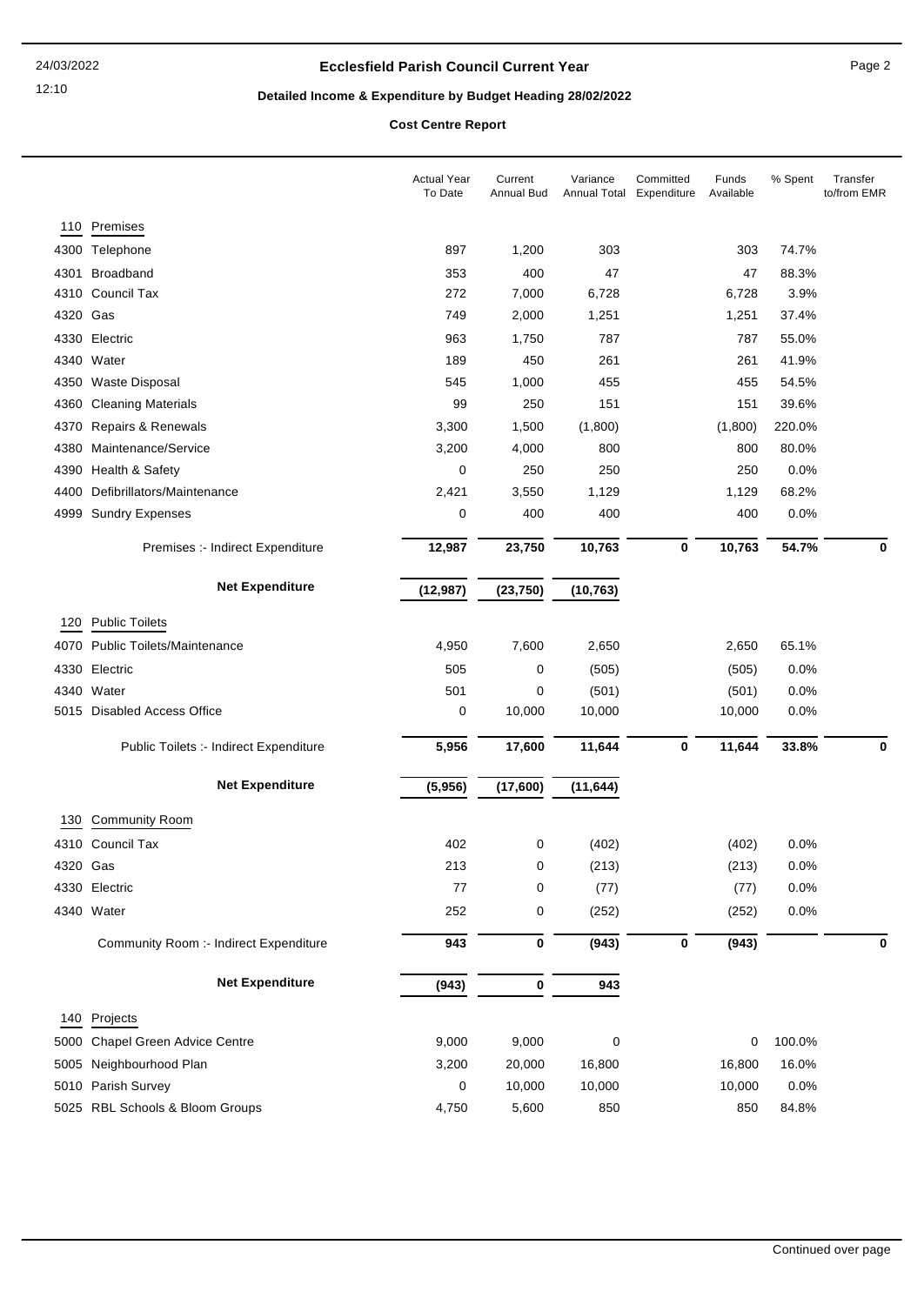## **Ecclesfield Parish Council Current Year** Page 2

# **Detailed Income & Expenditure by Budget Heading 28/02/2022**

**Cost Centre Report**

|          |                                        | <b>Actual Year</b><br>To Date | Current<br>Annual Bud | Variance<br>Annual Total Expenditure | Committed   | Funds<br>Available | % Spent | Transfer<br>to/from EMR |
|----------|----------------------------------------|-------------------------------|-----------------------|--------------------------------------|-------------|--------------------|---------|-------------------------|
| 110      | Premises                               |                               |                       |                                      |             |                    |         |                         |
|          | 4300 Telephone                         | 897                           | 1,200                 | 303                                  |             | 303                | 74.7%   |                         |
| 4301     | Broadband                              | 353                           | 400                   | 47                                   |             | 47                 | 88.3%   |                         |
|          | 4310 Council Tax                       | 272                           | 7,000                 | 6,728                                |             | 6,728              | 3.9%    |                         |
| 4320     | Gas                                    | 749                           | 2,000                 | 1,251                                |             | 1,251              | 37.4%   |                         |
| 4330     | Electric                               | 963                           | 1,750                 | 787                                  |             | 787                | 55.0%   |                         |
|          | 4340 Water                             | 189                           | 450                   | 261                                  |             | 261                | 41.9%   |                         |
| 4350     | <b>Waste Disposal</b>                  | 545                           | 1,000                 | 455                                  |             | 455                | 54.5%   |                         |
| 4360     | <b>Cleaning Materials</b>              | 99                            | 250                   | 151                                  |             | 151                | 39.6%   |                         |
| 4370     | Repairs & Renewals                     | 3,300                         | 1,500                 | (1,800)                              |             | (1,800)            | 220.0%  |                         |
| 4380     | Maintenance/Service                    | 3,200                         | 4,000                 | 800                                  |             | 800                | 80.0%   |                         |
|          | 4390 Health & Safety                   | 0                             | 250                   | 250                                  |             | 250                | 0.0%    |                         |
| 4400     | Defibrillators/Maintenance             | 2,421                         | 3,550                 | 1,129                                |             | 1,129              | 68.2%   |                         |
| 4999     | <b>Sundry Expenses</b>                 | 0                             | 400                   | 400                                  |             | 400                | 0.0%    |                         |
|          | Premises :- Indirect Expenditure       | 12,987                        | 23,750                | 10,763                               | $\mathbf 0$ | 10,763             | 54.7%   | $\bf{0}$                |
|          | <b>Net Expenditure</b>                 | (12, 987)                     | (23, 750)             | (10, 763)                            |             |                    |         |                         |
|          |                                        |                               |                       |                                      |             |                    |         |                         |
| 120      | <b>Public Toilets</b>                  |                               |                       |                                      |             |                    |         |                         |
| 4070     | <b>Public Toilets/Maintenance</b>      | 4,950                         | 7,600                 | 2,650                                |             | 2,650              | 65.1%   |                         |
| 4330     | Electric                               | 505                           | 0                     | (505)                                |             | (505)              | 0.0%    |                         |
|          | 4340 Water                             | 501                           | 0                     | (501)                                |             | (501)              | 0.0%    |                         |
|          | 5015 Disabled Access Office            | 0                             | 10,000                | 10,000                               |             | 10,000             | 0.0%    |                         |
|          | Public Toilets :- Indirect Expenditure | 5,956                         | 17,600                | 11,644                               | 0           | 11,644             | 33.8%   | $\bf{0}$                |
|          | <b>Net Expenditure</b>                 | (5,956)                       | (17,600)              | (11, 644)                            |             |                    |         |                         |
| 130      | <b>Community Room</b>                  |                               |                       |                                      |             |                    |         |                         |
|          | 4310 Council Tax                       | 402                           | 0                     | (402)                                |             | (402)              | 0.0%    |                         |
| 4320 Gas |                                        | 213                           | 0                     | (213)                                |             | (213)              | 0.0%    |                         |
|          | 4330 Electric                          | 77                            | 0                     | (77)                                 |             | (77)               | 0.0%    |                         |
|          | 4340 Water                             | 252                           | 0                     | (252)                                |             | (252)              | 0.0%    |                         |
|          | Community Room :- Indirect Expenditure | 943                           | 0                     | (943)                                | 0           | (943)              |         | 0                       |
|          | <b>Net Expenditure</b>                 | (943)                         | 0                     | 943                                  |             |                    |         |                         |
|          |                                        |                               |                       |                                      |             |                    |         |                         |
|          | 140 Projects                           |                               |                       |                                      |             |                    |         |                         |
|          | 5000 Chapel Green Advice Centre        | 9,000                         | 9,000                 | $\pmb{0}$                            |             | 0                  | 100.0%  |                         |
|          | 5005 Neighbourhood Plan                | 3,200                         | 20,000                | 16,800                               |             | 16,800             | 16.0%   |                         |
|          | 5010 Parish Survey                     | 0                             | 10,000                | 10,000                               |             | 10,000             | 0.0%    |                         |
|          | 5025 RBL Schools & Bloom Groups        | 4,750                         | 5,600                 | 850                                  |             | 850                | 84.8%   |                         |